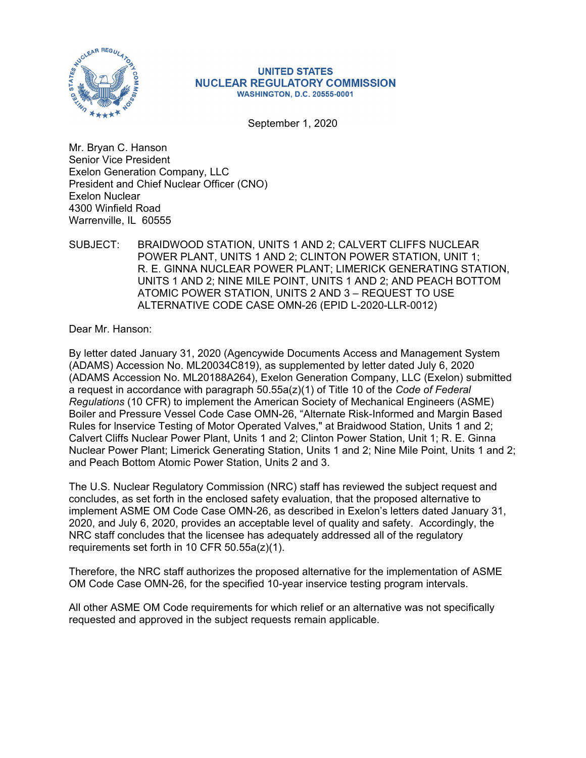

#### **UNITED STATES NUCLEAR REGULATORY COMMISSION WASHINGTON, D.C. 20555-0001**

September 1, 2020

Mr. Bryan C. Hanson Senior Vice President Exelon Generation Company, LLC President and Chief Nuclear Officer (CNO) Exelon Nuclear 4300 Winfield Road Warrenville, IL 60555

SUBJECT: BRAIDWOOD STATION, UNITS 1 AND 2; CALVERT CLIFFS NUCLEAR POWER PLANT, UNITS 1 AND 2; CLINTON POWER STATION, UNIT 1; R. E. GINNA NUCLEAR POWER PLANT; LIMERICK GENERATING STATION, UNITS 1 AND 2; NINE MILE POINT, UNITS 1 AND 2; AND PEACH BOTTOM ATOMIC POWER STATION, UNITS 2 AND 3 – REQUEST TO USE ALTERNATIVE CODE CASE OMN-26 (EPID L-2020-LLR-0012)

Dear Mr. Hanson:

By letter dated January 31, 2020 (Agencywide Documents Access and Management System (ADAMS) Accession No. ML20034C819), as supplemented by letter dated July 6, 2020 (ADAMS Accession No. ML20188A264), Exelon Generation Company, LLC (Exelon) submitted a request in accordance with paragraph 50.55a(z)(1) of Title 10 of the *Code of Federal Regulations* (10 CFR) to implement the American Society of Mechanical Engineers (ASME) Boiler and Pressure Vessel Code Case OMN-26, "Alternate Risk-Informed and Margin Based Rules for lnservice Testing of Motor Operated Valves," at Braidwood Station, Units 1 and 2; Calvert Cliffs Nuclear Power Plant, Units 1 and 2; Clinton Power Station, Unit 1; R. E. Ginna Nuclear Power Plant; Limerick Generating Station, Units 1 and 2; Nine Mile Point, Units 1 and 2; and Peach Bottom Atomic Power Station, Units 2 and 3.

The U.S. Nuclear Regulatory Commission (NRC) staff has reviewed the subject request and concludes, as set forth in the enclosed safety evaluation, that the proposed alternative to implement ASME OM Code Case OMN-26, as described in Exelon's letters dated January 31, 2020, and July 6, 2020, provides an acceptable level of quality and safety. Accordingly, the NRC staff concludes that the licensee has adequately addressed all of the regulatory requirements set forth in 10 CFR 50.55a(z)(1).

Therefore, the NRC staff authorizes the proposed alternative for the implementation of ASME OM Code Case OMN-26, for the specified 10-year inservice testing program intervals.

All other ASME OM Code requirements for which relief or an alternative was not specifically requested and approved in the subject requests remain applicable.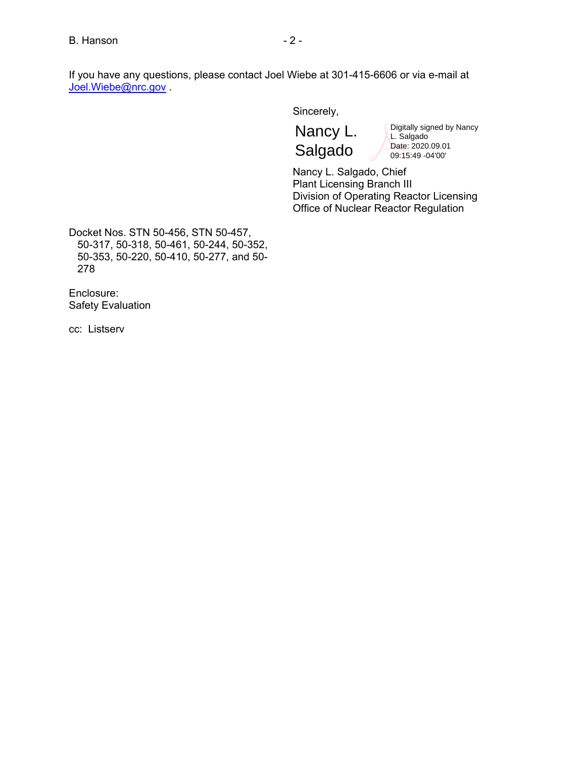If you have any questions, please contact Joel Wiebe at 301-415-6606 or via e-mail at Joel.Wiebe@nrc.gov

Sincerely,

Nancy L. Salgado

Digitally signed by Nancy L. Salgado Date: 2020.09.01 09:15:49 -04'00'

Nancy L. Salgado, Chief Plant Licensing Branch III Division of Operating Reactor Licensing Office of Nuclear Reactor Regulation

Docket Nos. STN 50-456, STN 50-457, 50-317, 50-318, 50-461, 50-244, 50-352, 50-353, 50-220, 50-410, 50-277, and 50- 278

Enclosure: Safety Evaluation

cc: Listserv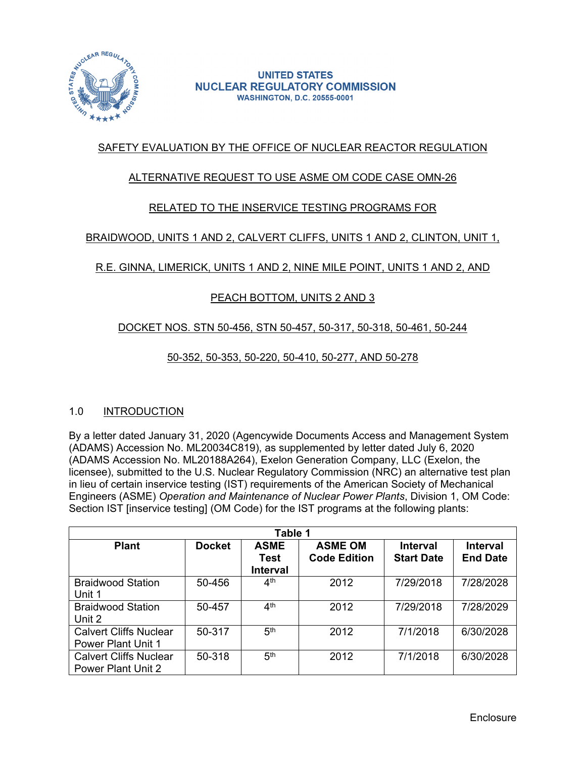

# SAFETY EVALUATION BY THE OFFICE OF NUCLEAR REACTOR REGULATION

## ALTERNATIVE REQUEST TO USE ASME OM CODE CASE OMN-26

## RELATED TO THE INSERVICE TESTING PROGRAMS FOR

## BRAIDWOOD, UNITS 1 AND 2, CALVERT CLIFFS, UNITS 1 AND 2, CLINTON, UNIT 1,

## R.E. GINNA, LIMERICK, UNITS 1 AND 2, NINE MILE POINT, UNITS 1 AND 2, AND

## PEACH BOTTOM, UNITS 2 AND 3

## DOCKET NOS. STN 50-456, STN 50-457, 50-317, 50-318, 50-461, 50-244

## 50-352, 50-353, 50-220, 50-410, 50-277, AND 50-278

## 1.0 INTRODUCTION

By a letter dated January 31, 2020 (Agencywide Documents Access and Management System (ADAMS) Accession No. ML20034C819), as supplemented by letter dated July 6, 2020 (ADAMS Accession No. ML20188A264), Exelon Generation Company, LLC (Exelon, the licensee), submitted to the U.S. Nuclear Regulatory Commission (NRC) an alternative test plan in lieu of certain inservice testing (IST) requirements of the American Society of Mechanical Engineers (ASME) *Operation and Maintenance of Nuclear Power Plants*, Division 1, OM Code: Section IST [inservice testing] (OM Code) for the IST programs at the following plants:

| Table 1                                                    |               |                                        |                                       |                                      |                                    |
|------------------------------------------------------------|---------------|----------------------------------------|---------------------------------------|--------------------------------------|------------------------------------|
| <b>Plant</b>                                               | <b>Docket</b> | <b>ASME</b><br>Test<br><b>Interval</b> | <b>ASME OM</b><br><b>Code Edition</b> | <b>Interval</b><br><b>Start Date</b> | <b>Interval</b><br><b>End Date</b> |
| <b>Braidwood Station</b><br>Unit 1                         | 50-456        | 4 <sup>th</sup>                        | 2012                                  | 7/29/2018                            | 7/28/2028                          |
| <b>Braidwood Station</b><br>Unit 2                         | 50-457        | 4 <sup>th</sup>                        | 2012                                  | 7/29/2018                            | 7/28/2029                          |
| <b>Calvert Cliffs Nuclear</b><br><b>Power Plant Unit 1</b> | 50-317        | 5 <sup>th</sup>                        | 2012                                  | 7/1/2018                             | 6/30/2028                          |
| <b>Calvert Cliffs Nuclear</b><br><b>Power Plant Unit 2</b> | 50-318        | 5 <sup>th</sup>                        | 2012                                  | 7/1/2018                             | 6/30/2028                          |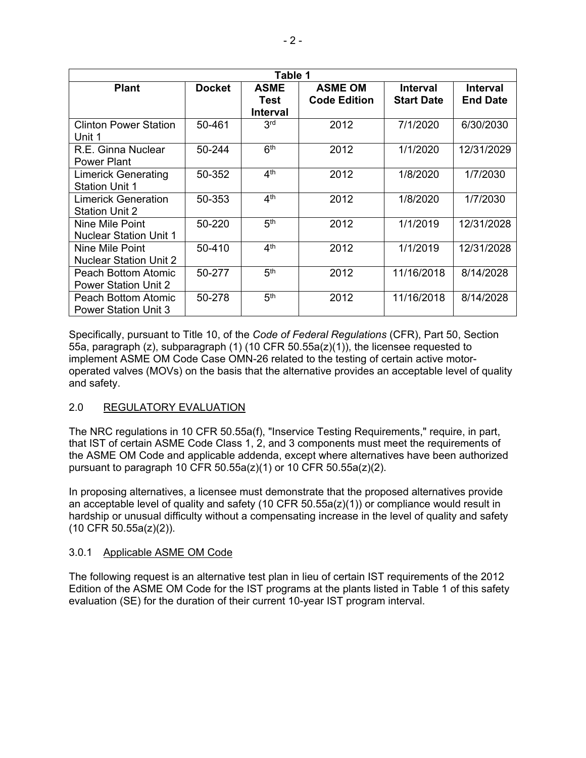| Table 1                       |               |                 |                     |                   |                 |
|-------------------------------|---------------|-----------------|---------------------|-------------------|-----------------|
| <b>Plant</b>                  | <b>Docket</b> | <b>ASME</b>     | <b>ASME OM</b>      | Interval          | <b>Interval</b> |
|                               |               | Test            | <b>Code Edition</b> | <b>Start Date</b> | <b>End Date</b> |
|                               |               | Interval        |                     |                   |                 |
| <b>Clinton Power Station</b>  | 50-461        | 3 <sup>rd</sup> | 2012                | 7/1/2020          | 6/30/2030       |
| Unit 1                        |               |                 |                     |                   |                 |
| R.E. Ginna Nuclear            | 50-244        | 6 <sup>th</sup> | 2012                | 1/1/2020          | 12/31/2029      |
| <b>Power Plant</b>            |               |                 |                     |                   |                 |
| <b>Limerick Generating</b>    | 50-352        | 4 <sup>th</sup> | 2012                | 1/8/2020          | 1/7/2030        |
| <b>Station Unit 1</b>         |               |                 |                     |                   |                 |
| <b>Limerick Generation</b>    | 50-353        | 4 <sup>th</sup> | 2012                | 1/8/2020          | 1/7/2030        |
| <b>Station Unit 2</b>         |               |                 |                     |                   |                 |
| Nine Mile Point               | $50-220$      | 5 <sup>th</sup> | 2012                | 1/1/2019          | 12/31/2028      |
| <b>Nuclear Station Unit 1</b> |               |                 |                     |                   |                 |
| Nine Mile Point               | 50-410        | 4 <sup>th</sup> | 2012                | 1/1/2019          | 12/31/2028      |
| <b>Nuclear Station Unit 2</b> |               |                 |                     |                   |                 |
| Peach Bottom Atomic           | 50-277        | 5 <sup>th</sup> | 2012                | 11/16/2018        | 8/14/2028       |
| <b>Power Station Unit 2</b>   |               |                 |                     |                   |                 |
| Peach Bottom Atomic           | 50-278        | 5 <sup>th</sup> | 2012                | 11/16/2018        | 8/14/2028       |
| <b>Power Station Unit 3</b>   |               |                 |                     |                   |                 |

Specifically, pursuant to Title 10, of the *Code of Federal Regulations* (CFR), Part 50, Section 55a, paragraph (z), subparagraph (1) (10 CFR 50.55a(z)(1)), the licensee requested to implement ASME OM Code Case OMN-26 related to the testing of certain active motoroperated valves (MOVs) on the basis that the alternative provides an acceptable level of quality and safety.

## 2.0 REGULATORY EVALUATION

The NRC regulations in 10 CFR 50.55a(f), "Inservice Testing Requirements," require, in part, that IST of certain ASME Code Class 1, 2, and 3 components must meet the requirements of the ASME OM Code and applicable addenda, except where alternatives have been authorized pursuant to paragraph 10 CFR 50.55a(z)(1) or 10 CFR 50.55a(z)(2).

In proposing alternatives, a licensee must demonstrate that the proposed alternatives provide an acceptable level of quality and safety (10 CFR  $50.55a(z)(1)$ ) or compliance would result in hardship or unusual difficulty without a compensating increase in the level of quality and safety (10 CFR 50.55a(z)(2)).

## 3.0.1 Applicable ASME OM Code

The following request is an alternative test plan in lieu of certain IST requirements of the 2012 Edition of the ASME OM Code for the IST programs at the plants listed in Table 1 of this safety evaluation (SE) for the duration of their current 10-year IST program interval.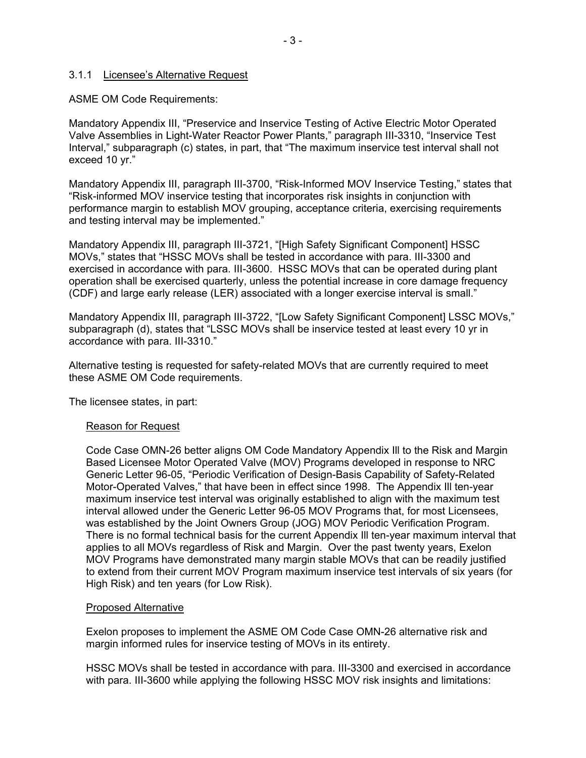#### 3.1.1 Licensee's Alternative Request

ASME OM Code Requirements:

Mandatory Appendix III, "Preservice and Inservice Testing of Active Electric Motor Operated Valve Assemblies in Light-Water Reactor Power Plants," paragraph III-3310, "Inservice Test Interval," subparagraph (c) states, in part, that "The maximum inservice test interval shall not exceed 10 yr."

Mandatory Appendix III, paragraph III-3700, "Risk-Informed MOV Inservice Testing," states that "Risk-informed MOV inservice testing that incorporates risk insights in conjunction with performance margin to establish MOV grouping, acceptance criteria, exercising requirements and testing interval may be implemented."

Mandatory Appendix III, paragraph III-3721, "[High Safety Significant Component] HSSC MOVs," states that "HSSC MOVs shall be tested in accordance with para. III-3300 and exercised in accordance with para. III-3600. HSSC MOVs that can be operated during plant operation shall be exercised quarterly, unless the potential increase in core damage frequency (CDF) and large early release (LER) associated with a longer exercise interval is small."

Mandatory Appendix III, paragraph III-3722, "[Low Safety Significant Component] LSSC MOVs," subparagraph (d), states that "LSSC MOVs shall be inservice tested at least every 10 yr in accordance with para. III-3310."

Alternative testing is requested for safety-related MOVs that are currently required to meet these ASME OM Code requirements.

The licensee states, in part:

#### Reason for Request

Code Case OMN-26 better aligns OM Code Mandatory Appendix Ill to the Risk and Margin Based Licensee Motor Operated Valve (MOV) Programs developed in response to NRC Generic Letter 96-05, "Periodic Verification of Design-Basis Capability of Safety-Related Motor-Operated Valves," that have been in effect since 1998. The Appendix Ill ten-year maximum inservice test interval was originally established to align with the maximum test interval allowed under the Generic Letter 96-05 MOV Programs that, for most Licensees, was established by the Joint Owners Group (JOG) MOV Periodic Verification Program. There is no formal technical basis for the current Appendix Ill ten-year maximum interval that applies to all MOVs regardless of Risk and Margin. Over the past twenty years, Exelon MOV Programs have demonstrated many margin stable MOVs that can be readily justified to extend from their current MOV Program maximum inservice test intervals of six years (for High Risk) and ten years (for Low Risk).

#### Proposed Alternative

Exelon proposes to implement the ASME OM Code Case OMN-26 alternative risk and margin informed rules for inservice testing of MOVs in its entirety.

HSSC MOVs shall be tested in accordance with para. III-3300 and exercised in accordance with para. III-3600 while applying the following HSSC MOV risk insights and limitations: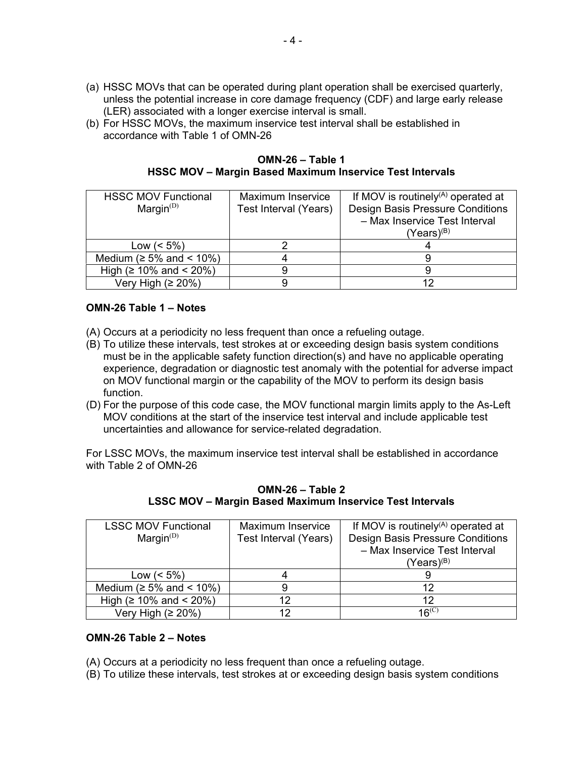- (a) HSSC MOVs that can be operated during plant operation shall be exercised quarterly, unless the potential increase in core damage frequency (CDF) and large early release (LER) associated with a longer exercise interval is small.
- (b) For HSSC MOVs, the maximum inservice test interval shall be established in accordance with Table 1 of OMN-26

**OMN-26 – Table 1 HSSC MOV – Margin Based Maximum Inservice Test Intervals**

| <b>HSSC MOV Functional</b>     | Maximum Inservice     | If MOV is routinely <sup>(A)</sup> operated at |  |
|--------------------------------|-----------------------|------------------------------------------------|--|
| Margin $(D)$                   | Test Interval (Years) | Design Basis Pressure Conditions               |  |
|                                |                       | - Max Inservice Test Interval                  |  |
|                                |                       | $(Years)^{(B)}$                                |  |
| Low $(< 5\%)$                  |                       |                                                |  |
| Medium ( $\geq 5\%$ and < 10%) |                       |                                                |  |
| High ( $\geq 10\%$ and < 20%)  |                       |                                                |  |
| Very High $(≥ 20%)$            |                       |                                                |  |

## **OMN-26 Table 1 – Notes**

- (A) Occurs at a periodicity no less frequent than once a refueling outage.
- (B) To utilize these intervals, test strokes at or exceeding design basis system conditions must be in the applicable safety function direction(s) and have no applicable operating experience, degradation or diagnostic test anomaly with the potential for adverse impact on MOV functional margin or the capability of the MOV to perform its design basis function.
- (D) For the purpose of this code case, the MOV functional margin limits apply to the As-Left MOV conditions at the start of the inservice test interval and include applicable test uncertainties and allowance for service-related degradation.

For LSSC MOVs, the maximum inservice test interval shall be established in accordance with Table 2 of OMN-26

| <b>LSSC MOV Functional</b>     | <b>Maximum Inservice</b> | If MOV is routinely <sup>(A)</sup> operated at |  |
|--------------------------------|--------------------------|------------------------------------------------|--|
| Margin $(D)$                   | Test Interval (Years)    | Design Basis Pressure Conditions               |  |
|                                |                          | - Max Inservice Test Interval                  |  |
|                                |                          | (Years) <sup>(B)</sup>                         |  |
| Low $(< 5\%)$                  |                          |                                                |  |
| Medium ( $\geq 5\%$ and < 10%) |                          | 12.                                            |  |
| High ( $\geq 10\%$ and < 20%)  | 12                       |                                                |  |
| Very High $(≥ 20%)$            | 12                       | $16^{(C)}$                                     |  |

**OMN-26 – Table 2 LSSC MOV – Margin Based Maximum Inservice Test Intervals**

### **OMN-26 Table 2 – Notes**

- (A) Occurs at a periodicity no less frequent than once a refueling outage.
- (B) To utilize these intervals, test strokes at or exceeding design basis system conditions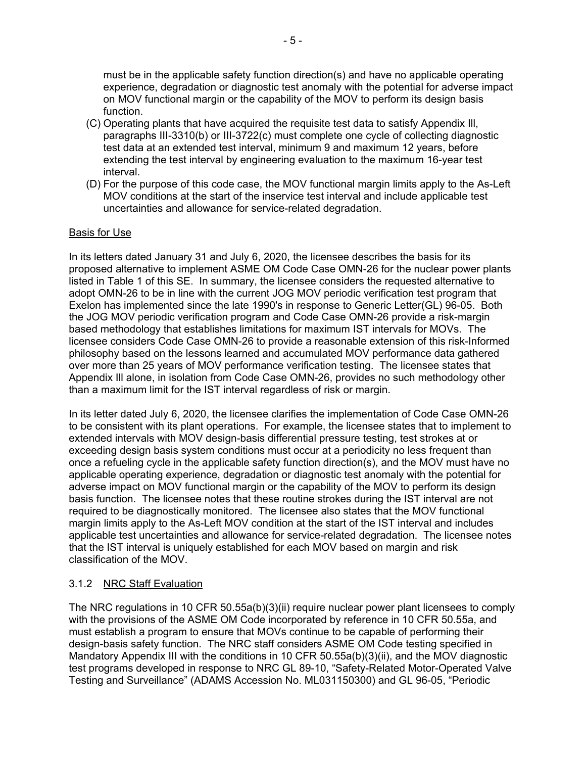must be in the applicable safety function direction(s) and have no applicable operating experience, degradation or diagnostic test anomaly with the potential for adverse impact on MOV functional margin or the capability of the MOV to perform its design basis function.

- (C) Operating plants that have acquired the requisite test data to satisfy Appendix Ill, paragraphs III-3310(b) or III-3722(c) must complete one cycle of collecting diagnostic test data at an extended test interval, minimum 9 and maximum 12 years, before extending the test interval by engineering evaluation to the maximum 16-year test interval.
- (D) For the purpose of this code case, the MOV functional margin limits apply to the As-Left MOV conditions at the start of the inservice test interval and include applicable test uncertainties and allowance for service-related degradation.

### Basis for Use

In its letters dated January 31 and July 6, 2020, the licensee describes the basis for its proposed alternative to implement ASME OM Code Case OMN-26 for the nuclear power plants listed in Table 1 of this SE. In summary, the licensee considers the requested alternative to adopt OMN-26 to be in line with the current JOG MOV periodic verification test program that Exelon has implemented since the late 1990's in response to Generic Letter(GL) 96-05. Both the JOG MOV periodic verification program and Code Case OMN-26 provide a risk-margin based methodology that establishes limitations for maximum IST intervals for MOVs. The licensee considers Code Case OMN-26 to provide a reasonable extension of this risk-Informed philosophy based on the lessons learned and accumulated MOV performance data gathered over more than 25 years of MOV performance verification testing. The licensee states that Appendix Ill alone, in isolation from Code Case OMN-26, provides no such methodology other than a maximum limit for the IST interval regardless of risk or margin.

In its letter dated July 6, 2020, the licensee clarifies the implementation of Code Case OMN-26 to be consistent with its plant operations. For example, the licensee states that to implement to extended intervals with MOV design-basis differential pressure testing, test strokes at or exceeding design basis system conditions must occur at a periodicity no less frequent than once a refueling cycle in the applicable safety function direction(s), and the MOV must have no applicable operating experience, degradation or diagnostic test anomaly with the potential for adverse impact on MOV functional margin or the capability of the MOV to perform its design basis function. The licensee notes that these routine strokes during the IST interval are not required to be diagnostically monitored. The licensee also states that the MOV functional margin limits apply to the As-Left MOV condition at the start of the IST interval and includes applicable test uncertainties and allowance for service-related degradation. The licensee notes that the IST interval is uniquely established for each MOV based on margin and risk classification of the MOV.

#### 3.1.2 NRC Staff Evaluation

The NRC regulations in 10 CFR 50.55a(b)(3)(ii) require nuclear power plant licensees to comply with the provisions of the ASME OM Code incorporated by reference in 10 CFR 50.55a, and must establish a program to ensure that MOVs continue to be capable of performing their design-basis safety function. The NRC staff considers ASME OM Code testing specified in Mandatory Appendix III with the conditions in 10 CFR 50.55a(b)(3)(ii), and the MOV diagnostic test programs developed in response to NRC GL 89-10, "Safety-Related Motor-Operated Valve Testing and Surveillance" (ADAMS Accession No. ML031150300) and GL 96-05, "Periodic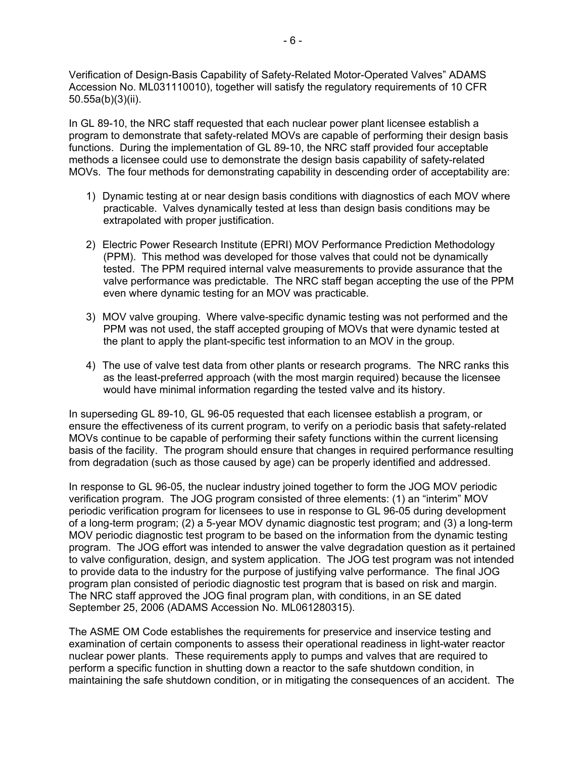Verification of Design-Basis Capability of Safety-Related Motor-Operated Valves" ADAMS Accession No. ML031110010), together will satisfy the regulatory requirements of 10 CFR 50.55a(b)(3)(ii).

In GL 89-10, the NRC staff requested that each nuclear power plant licensee establish a program to demonstrate that safety-related MOVs are capable of performing their design basis functions. During the implementation of GL 89-10, the NRC staff provided four acceptable methods a licensee could use to demonstrate the design basis capability of safety-related MOVs. The four methods for demonstrating capability in descending order of acceptability are:

- 1) Dynamic testing at or near design basis conditions with diagnostics of each MOV where practicable. Valves dynamically tested at less than design basis conditions may be extrapolated with proper justification.
- 2) Electric Power Research Institute (EPRI) MOV Performance Prediction Methodology (PPM). This method was developed for those valves that could not be dynamically tested. The PPM required internal valve measurements to provide assurance that the valve performance was predictable. The NRC staff began accepting the use of the PPM even where dynamic testing for an MOV was practicable.
- 3) MOV valve grouping. Where valve-specific dynamic testing was not performed and the PPM was not used, the staff accepted grouping of MOVs that were dynamic tested at the plant to apply the plant-specific test information to an MOV in the group.
- 4) The use of valve test data from other plants or research programs. The NRC ranks this as the least-preferred approach (with the most margin required) because the licensee would have minimal information regarding the tested valve and its history.

In superseding GL 89-10, GL 96-05 requested that each licensee establish a program, or ensure the effectiveness of its current program, to verify on a periodic basis that safety-related MOVs continue to be capable of performing their safety functions within the current licensing basis of the facility. The program should ensure that changes in required performance resulting from degradation (such as those caused by age) can be properly identified and addressed.

In response to GL 96-05, the nuclear industry joined together to form the JOG MOV periodic verification program. The JOG program consisted of three elements: (1) an "interim" MOV periodic verification program for licensees to use in response to GL 96-05 during development of a long-term program; (2) a 5-year MOV dynamic diagnostic test program; and (3) a long-term MOV periodic diagnostic test program to be based on the information from the dynamic testing program. The JOG effort was intended to answer the valve degradation question as it pertained to valve configuration, design, and system application. The JOG test program was not intended to provide data to the industry for the purpose of justifying valve performance. The final JOG program plan consisted of periodic diagnostic test program that is based on risk and margin. The NRC staff approved the JOG final program plan, with conditions, in an SE dated September 25, 2006 (ADAMS Accession No. ML061280315).

The ASME OM Code establishes the requirements for preservice and inservice testing and examination of certain components to assess their operational readiness in light-water reactor nuclear power plants. These requirements apply to pumps and valves that are required to perform a specific function in shutting down a reactor to the safe shutdown condition, in maintaining the safe shutdown condition, or in mitigating the consequences of an accident. The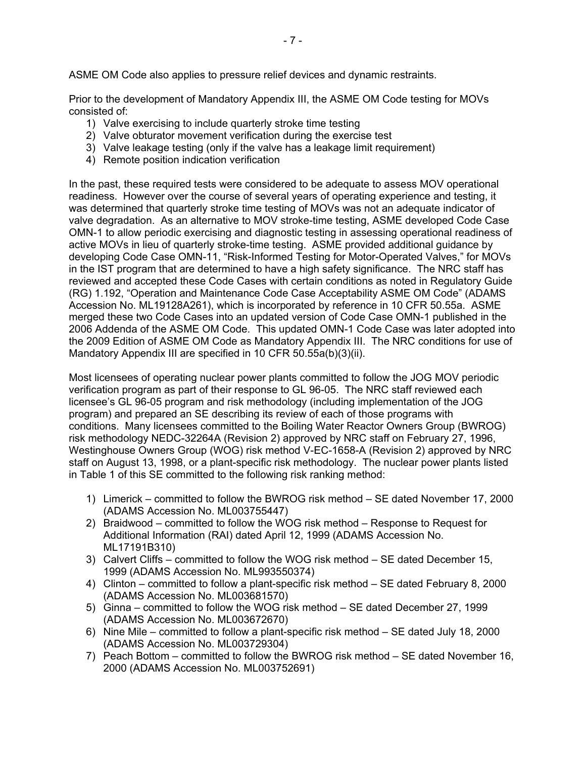ASME OM Code also applies to pressure relief devices and dynamic restraints.

Prior to the development of Mandatory Appendix III, the ASME OM Code testing for MOVs consisted of:

- 1) Valve exercising to include quarterly stroke time testing
- 2) Valve obturator movement verification during the exercise test
- 3) Valve leakage testing (only if the valve has a leakage limit requirement)
- 4) Remote position indication verification

In the past, these required tests were considered to be adequate to assess MOV operational readiness. However over the course of several years of operating experience and testing, it was determined that quarterly stroke time testing of MOVs was not an adequate indicator of valve degradation. As an alternative to MOV stroke-time testing, ASME developed Code Case OMN-1 to allow periodic exercising and diagnostic testing in assessing operational readiness of active MOVs in lieu of quarterly stroke-time testing. ASME provided additional guidance by developing Code Case OMN-11, "Risk-Informed Testing for Motor-Operated Valves," for MOVs in the IST program that are determined to have a high safety significance. The NRC staff has reviewed and accepted these Code Cases with certain conditions as noted in Regulatory Guide (RG) 1.192, "Operation and Maintenance Code Case Acceptability ASME OM Code" (ADAMS Accession No. ML19128A261), which is incorporated by reference in 10 CFR 50.55a. ASME merged these two Code Cases into an updated version of Code Case OMN-1 published in the 2006 Addenda of the ASME OM Code. This updated OMN-1 Code Case was later adopted into the 2009 Edition of ASME OM Code as Mandatory Appendix III. The NRC conditions for use of Mandatory Appendix III are specified in 10 CFR 50.55a(b)(3)(ii).

Most licensees of operating nuclear power plants committed to follow the JOG MOV periodic verification program as part of their response to GL 96-05. The NRC staff reviewed each licensee's GL 96-05 program and risk methodology (including implementation of the JOG program) and prepared an SE describing its review of each of those programs with conditions. Many licensees committed to the Boiling Water Reactor Owners Group (BWROG) risk methodology NEDC-32264A (Revision 2) approved by NRC staff on February 27, 1996, Westinghouse Owners Group (WOG) risk method V-EC-1658-A (Revision 2) approved by NRC staff on August 13, 1998, or a plant-specific risk methodology. The nuclear power plants listed in Table 1 of this SE committed to the following risk ranking method:

- 1) Limerick committed to follow the BWROG risk method SE dated November 17, 2000 (ADAMS Accession No. ML003755447)
- 2) Braidwood committed to follow the WOG risk method Response to Request for Additional Information (RAI) dated April 12, 1999 (ADAMS Accession No. ML17191B310)
- 3) Calvert Cliffs committed to follow the WOG risk method SE dated December 15, 1999 (ADAMS Accession No. ML993550374)
- 4) Clinton committed to follow a plant-specific risk method SE dated February 8, 2000 (ADAMS Accession No. ML003681570)
- 5) Ginna committed to follow the WOG risk method SE dated December 27, 1999 (ADAMS Accession No. ML003672670)
- 6) Nine Mile committed to follow a plant-specific risk method SE dated July 18, 2000 (ADAMS Accession No. ML003729304)
- 7) Peach Bottom committed to follow the BWROG risk method SE dated November 16, 2000 (ADAMS Accession No. ML003752691)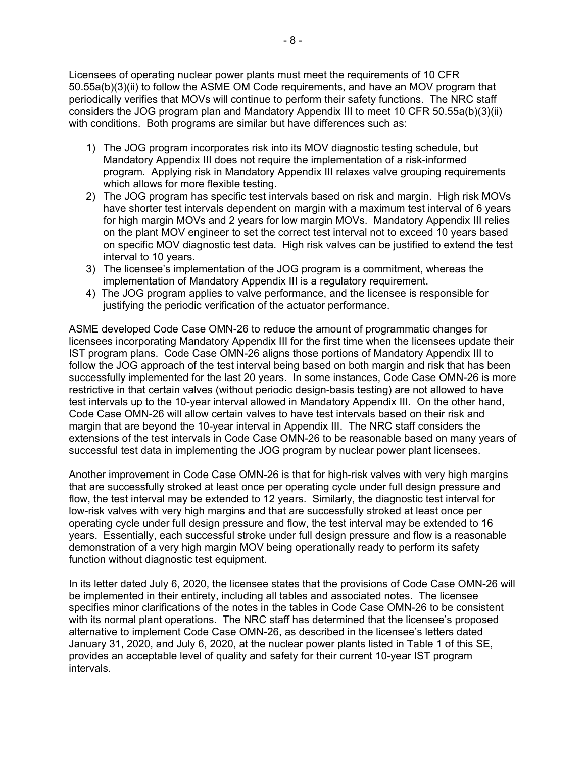Licensees of operating nuclear power plants must meet the requirements of 10 CFR 50.55a(b)(3)(ii) to follow the ASME OM Code requirements, and have an MOV program that periodically verifies that MOVs will continue to perform their safety functions. The NRC staff considers the JOG program plan and Mandatory Appendix III to meet 10 CFR 50.55a(b)(3)(ii) with conditions. Both programs are similar but have differences such as:

- 1) The JOG program incorporates risk into its MOV diagnostic testing schedule, but Mandatory Appendix III does not require the implementation of a risk-informed program. Applying risk in Mandatory Appendix III relaxes valve grouping requirements which allows for more flexible testing.
- 2) The JOG program has specific test intervals based on risk and margin. High risk MOVs have shorter test intervals dependent on margin with a maximum test interval of 6 years for high margin MOVs and 2 years for low margin MOVs. Mandatory Appendix III relies on the plant MOV engineer to set the correct test interval not to exceed 10 years based on specific MOV diagnostic test data. High risk valves can be justified to extend the test interval to 10 years.
- 3) The licensee's implementation of the JOG program is a commitment, whereas the implementation of Mandatory Appendix III is a regulatory requirement.
- 4) The JOG program applies to valve performance, and the licensee is responsible for justifying the periodic verification of the actuator performance.

ASME developed Code Case OMN-26 to reduce the amount of programmatic changes for licensees incorporating Mandatory Appendix III for the first time when the licensees update their IST program plans. Code Case OMN-26 aligns those portions of Mandatory Appendix III to follow the JOG approach of the test interval being based on both margin and risk that has been successfully implemented for the last 20 years. In some instances, Code Case OMN-26 is more restrictive in that certain valves (without periodic design-basis testing) are not allowed to have test intervals up to the 10-year interval allowed in Mandatory Appendix III. On the other hand, Code Case OMN-26 will allow certain valves to have test intervals based on their risk and margin that are beyond the 10-year interval in Appendix III. The NRC staff considers the extensions of the test intervals in Code Case OMN-26 to be reasonable based on many years of successful test data in implementing the JOG program by nuclear power plant licensees.

Another improvement in Code Case OMN-26 is that for high-risk valves with very high margins that are successfully stroked at least once per operating cycle under full design pressure and flow, the test interval may be extended to 12 years. Similarly, the diagnostic test interval for low-risk valves with very high margins and that are successfully stroked at least once per operating cycle under full design pressure and flow, the test interval may be extended to 16 years. Essentially, each successful stroke under full design pressure and flow is a reasonable demonstration of a very high margin MOV being operationally ready to perform its safety function without diagnostic test equipment.

In its letter dated July 6, 2020, the licensee states that the provisions of Code Case OMN-26 will be implemented in their entirety, including all tables and associated notes. The licensee specifies minor clarifications of the notes in the tables in Code Case OMN-26 to be consistent with its normal plant operations. The NRC staff has determined that the licensee's proposed alternative to implement Code Case OMN-26, as described in the licensee's letters dated January 31, 2020, and July 6, 2020, at the nuclear power plants listed in Table 1 of this SE, provides an acceptable level of quality and safety for their current 10-year IST program intervals.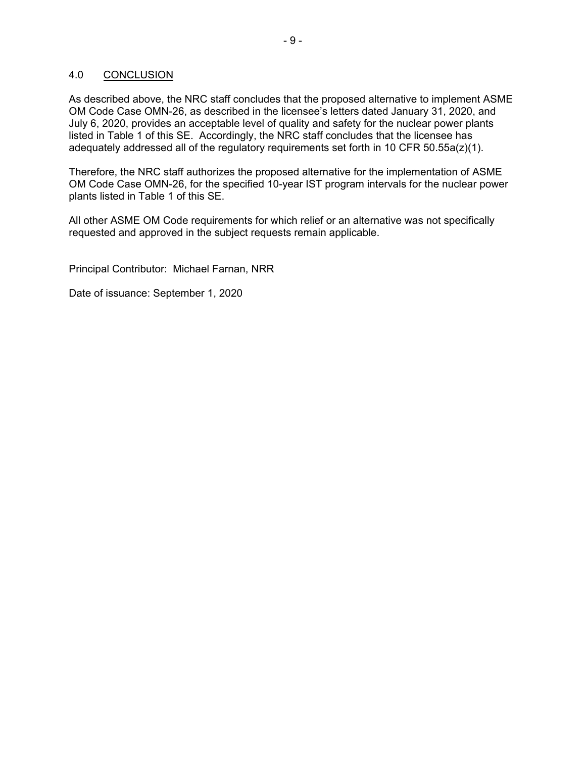### 4.0 CONCLUSION

As described above, the NRC staff concludes that the proposed alternative to implement ASME OM Code Case OMN-26, as described in the licensee's letters dated January 31, 2020, and July 6, 2020, provides an acceptable level of quality and safety for the nuclear power plants listed in Table 1 of this SE. Accordingly, the NRC staff concludes that the licensee has adequately addressed all of the regulatory requirements set forth in 10 CFR 50.55a(z)(1).

Therefore, the NRC staff authorizes the proposed alternative for the implementation of ASME OM Code Case OMN-26, for the specified 10-year IST program intervals for the nuclear power plants listed in Table 1 of this SE.

All other ASME OM Code requirements for which relief or an alternative was not specifically requested and approved in the subject requests remain applicable.

Principal Contributor: Michael Farnan, NRR

Date of issuance: September 1, 2020